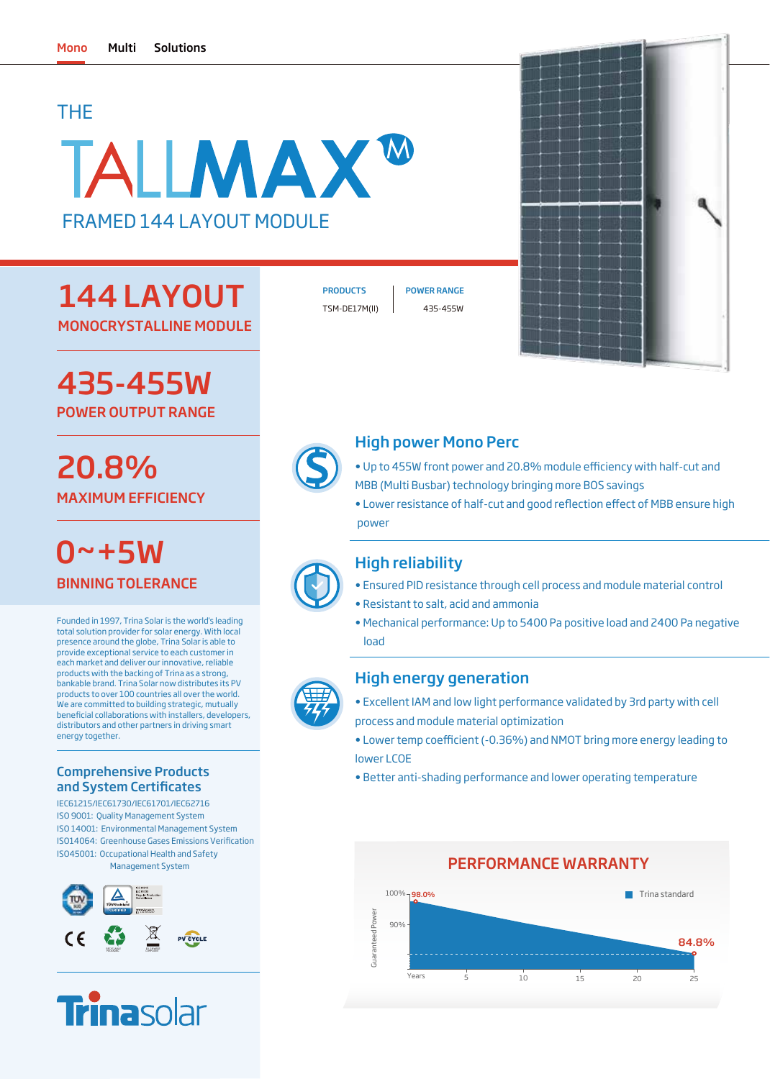## THE

# TALLMAX<sup>W</sup> FRAMED 144 LAYOUT MODULE

## 144 LAYOUT MONOCRYSTALLINE MODULE

TSM-DE17M(II) 435-455W

PRODUCTS | POWER RANGE



## 435-455W POWER OUTPUT RANGE

# 20.8% MAXIMUM EFFICIENCY

BINNING TOLERANCE  $0 - + 5W$ 

Founded in 1997, Trina Solar is the world's leading total solution provider for solar energy. With local presence around the globe, Trina Solar is able to provide exceptional service to each customer in each market and deliver our innovative, reliable products with the backing of Trina as a strong, bankable brand. Trina Solar now distributes its PV products to over 100 countries all over the world. We are committed to building strategic, mutually beneficial collaborations with installers, developers, distributors and other partners in driving smart energy together.

#### Comprehensive Products and System Certificates

IEC61215/IEC61730/IEC61701/IEC62716 ISO 9001: Quality Management System ISO 14001: Environmental Management System ISO45001: Occupational Health and Safety Management System ISO14064: Greenhouse Gases Emissions Verification





### High power Mono Perc

- Up to 455W front power and 20.8% module efficiency with half-cut and MBB (Multi Busbar) technology bringing more BOS savings
- Lower resistance of half-cut and good reflection effect of MBB ensure high power

### High reliability

- Ensured PID resistance through cell process and module material control
- Resistant to salt, acid and ammonia
- Mechanical performance: Up to 5400 Pa positive load and 2400 Pa negative load

#### High energy generation

- Excellent IAM and low light performance validated by 3rd party with cell process and module material optimization
- Lower temp coefficient (-0.36%) and NMOT bring more energy leading to lower LCOE
- Better anti-shading performance and lower operating temperature